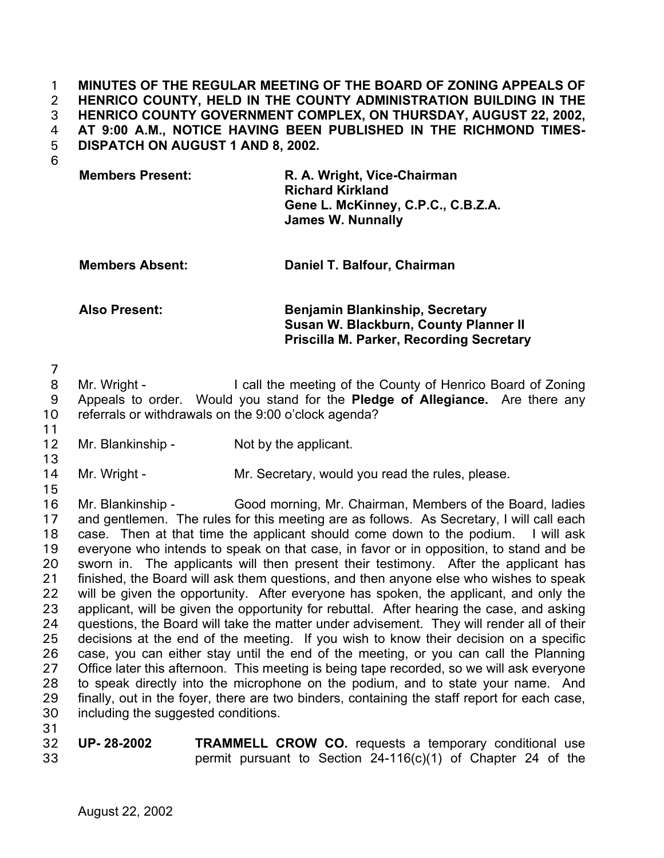**MINUTES OF THE REGULAR MEETING OF THE BOARD OF ZONING APPEALS OF HENRICO COUNTY, HELD IN THE COUNTY ADMINISTRATION BUILDING IN THE HENRICO COUNTY GOVERNMENT COMPLEX, ON THURSDAY, AUGUST 22, 2002, AT 9:00 A.M., NOTICE HAVING BEEN PUBLISHED IN THE RICHMOND TIMES-DISPATCH ON AUGUST 1 AND 8, 2002.**  1 2 3 4 5

6

| <b>Members Present:</b> | R. A. Wright, Vice-Chairman        |
|-------------------------|------------------------------------|
|                         | <b>Richard Kirkland</b>            |
|                         | Gene L. McKinney, C.P.C., C.B.Z.A. |
|                         | <b>James W. Nunnally</b>           |

**Members Absent: Daniel T. Balfour, Chairman** 

## **Also Present: Benjamin Blankinship, Secretary Susan W. Blackburn, County Planner II Priscilla M. Parker, Recording Secretary**

7

8 9 10 Mr. Wright - The call the meeting of the County of Henrico Board of Zoning Appeals to order. Would you stand for the **Pledge of Allegiance.** Are there any referrals or withdrawals on the 9:00 o'clock agenda?

11 12

13

Mr. Blankinship - Not by the applicant.

14 Mr. Wright - Mr. Secretary, would you read the rules, please.

15 16

17 18 19 20 21 22 23 24 25 26 27 28 29 30 31 Mr. Blankinship - Good morning, Mr. Chairman, Members of the Board, ladies and gentlemen. The rules for this meeting are as follows. As Secretary, I will call each case. Then at that time the applicant should come down to the podium. I will ask everyone who intends to speak on that case, in favor or in opposition, to stand and be sworn in. The applicants will then present their testimony. After the applicant has finished, the Board will ask them questions, and then anyone else who wishes to speak will be given the opportunity. After everyone has spoken, the applicant, and only the applicant, will be given the opportunity for rebuttal. After hearing the case, and asking questions, the Board will take the matter under advisement. They will render all of their decisions at the end of the meeting. If you wish to know their decision on a specific case, you can either stay until the end of the meeting, or you can call the Planning Office later this afternoon. This meeting is being tape recorded, so we will ask everyone to speak directly into the microphone on the podium, and to state your name. And finally, out in the foyer, there are two binders, containing the staff report for each case, including the suggested conditions.

32 33 **UP- 28-2002 TRAMMELL CROW CO.** requests a temporary conditional use permit pursuant to Section 24-116(c)(1) of Chapter 24 of the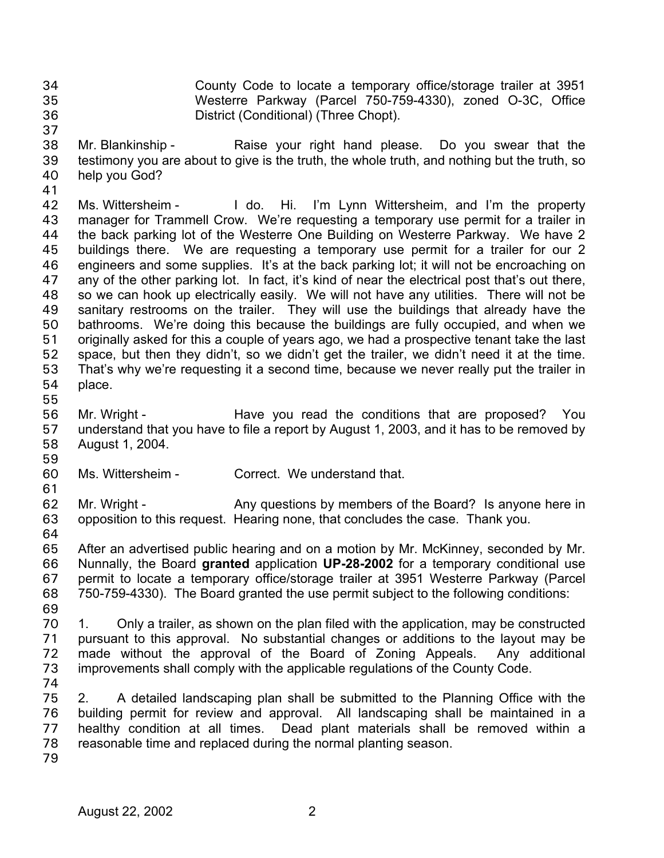County Code to locate a temporary office/storage trailer at 3951 Westerre Parkway (Parcel 750-759-4330), zoned O-3C, Office District (Conditional) (Three Chopt). 34 35 36

- 38 39 40 Mr. Blankinship - Raise your right hand please. Do you swear that the testimony you are about to give is the truth, the whole truth, and nothing but the truth, so help you God?
- 41

37

42 43 44 45 46 47 48 49 50 51 52 53 54 Ms. Wittersheim - I do. Hi. I'm Lynn Wittersheim, and I'm the property manager for Trammell Crow. We're requesting a temporary use permit for a trailer in the back parking lot of the Westerre One Building on Westerre Parkway. We have 2 buildings there. We are requesting a temporary use permit for a trailer for our 2 engineers and some supplies. It's at the back parking lot; it will not be encroaching on any of the other parking lot. In fact, it's kind of near the electrical post that's out there, so we can hook up electrically easily. We will not have any utilities. There will not be sanitary restrooms on the trailer. They will use the buildings that already have the bathrooms. We're doing this because the buildings are fully occupied, and when we originally asked for this a couple of years ago, we had a prospective tenant take the last space, but then they didn't, so we didn't get the trailer, we didn't need it at the time. That's why we're requesting it a second time, because we never really put the trailer in place.

55

56 57 58 Mr. Wright - Have you read the conditions that are proposed? You understand that you have to file a report by August 1, 2003, and it has to be removed by August 1, 2004.

59

60 Ms. Wittersheim - Correct. We understand that.

61 62 63 Mr. Wright - Any questions by members of the Board? Is anyone here in opposition to this request. Hearing none, that concludes the case. Thank you.

64

65 66 67 68 69 After an advertised public hearing and on a motion by Mr. McKinney, seconded by Mr. Nunnally, the Board **granted** application **UP-28-2002** for a temporary conditional use permit to locate a temporary office/storage trailer at 3951 Westerre Parkway (Parcel 750-759-4330). The Board granted the use permit subject to the following conditions:

- 70 71 72 73 1. Only a trailer, as shown on the plan filed with the application, may be constructed pursuant to this approval. No substantial changes or additions to the layout may be made without the approval of the Board of Zoning Appeals. Any additional improvements shall comply with the applicable regulations of the County Code.
- 74

75 76 77 78 2. A detailed landscaping plan shall be submitted to the Planning Office with the building permit for review and approval. All landscaping shall be maintained in a healthy condition at all times. Dead plant materials shall be removed within a reasonable time and replaced during the normal planting season.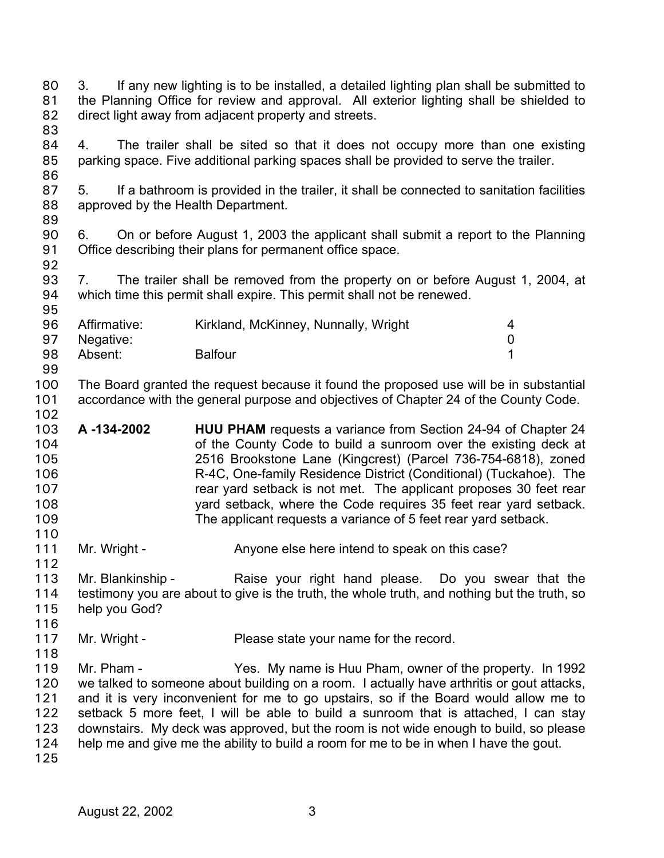3. If any new lighting is to be installed, a detailed lighting plan shall be submitted to the Planning Office for review and approval. All exterior lighting shall be shielded to direct light away from adjacent property and streets. 80 81 82 83

- 84 85 86 4. The trailer shall be sited so that it does not occupy more than one existing parking space. Five additional parking spaces shall be provided to serve the trailer.
- 87 88 5. If a bathroom is provided in the trailer, it shall be connected to sanitation facilities approved by the Health Department.
- 90 91 6. On or before August 1, 2003 the applicant shall submit a report to the Planning Office describing their plans for permanent office space.
- 93 94 7. The trailer shall be removed from the property on or before August 1, 2004, at which time this permit shall expire. This permit shall not be renewed.

| 96  | Affirmative: | Kirkland, McKinney, Nunnally, Wright | 4 |
|-----|--------------|--------------------------------------|---|
| 97  | Negative:    |                                      |   |
| 98  | Absent:      | <b>Balfour</b>                       |   |
| -99 |              |                                      |   |

- 100 101 The Board granted the request because it found the proposed use will be in substantial accordance with the general purpose and objectives of Chapter 24 of the County Code.
- 103 104 105 106 107 108 109 **A -134-2002 HUU PHAM** requests a variance from Section 24-94 of Chapter 24 of the County Code to build a sunroom over the existing deck at 2516 Brookstone Lane (Kingcrest) (Parcel 736-754-6818), zoned R-4C, One-family Residence District (Conditional) (Tuckahoe). The rear yard setback is not met. The applicant proposes 30 feet rear yard setback, where the Code requires 35 feet rear yard setback. The applicant requests a variance of 5 feet rear yard setback.
- 111 Mr. Wright - Anyone else here intend to speak on this case?
- 112 113 114 115 Mr. Blankinship - The Raise your right hand please. Do you swear that the testimony you are about to give is the truth, the whole truth, and nothing but the truth, so help you God?
- 116
- 117 118 Mr. Wright - Please state your name for the record.
- 119 120 121 122 123 124 Mr. Pham - Yes. My name is Huu Pham, owner of the property. In 1992 we talked to someone about building on a room. I actually have arthritis or gout attacks, and it is very inconvenient for me to go upstairs, so if the Board would allow me to setback 5 more feet, I will be able to build a sunroom that is attached, I can stay downstairs. My deck was approved, but the room is not wide enough to build, so please help me and give me the ability to build a room for me to be in when I have the gout.
- 125

89

92

95

102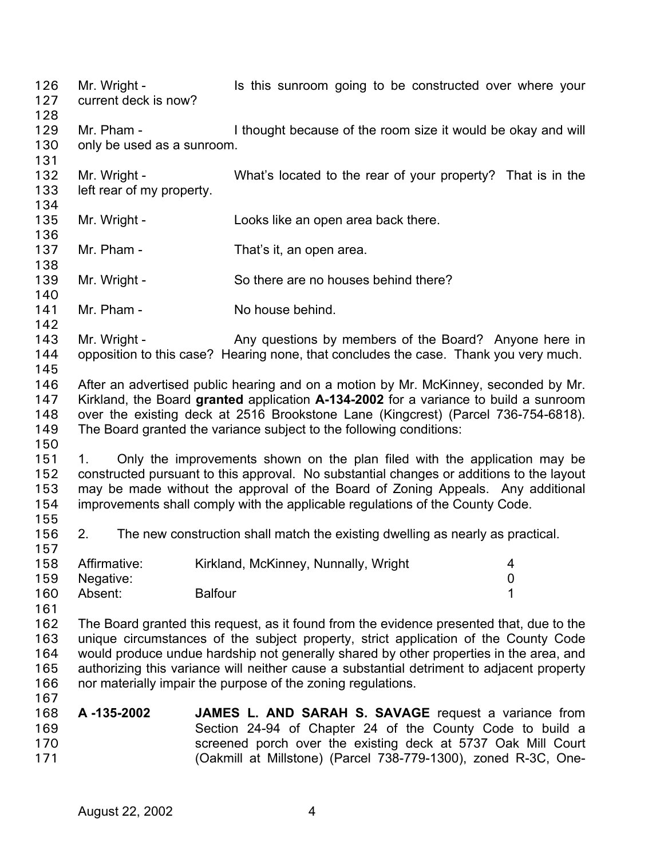Mr. Wright - The Is this sunroom going to be constructed over where your current deck is now? 126 127 128 129 130 131 132 133 134 135 136 137 138 139 140 141 142 143 144 145 146 147 148 149 150 151 152 153 154 155 156 157 158 159 160 161 162 163 164 165 166 167 168 169 170 171 Mr. Pham - I thought because of the room size it would be okay and will only be used as a sunroom. Mr. Wright - What's located to the rear of your property? That is in the left rear of my property. Mr. Wright - Looks like an open area back there. Mr. Pham - That's it, an open area. Mr. Wright - So there are no houses behind there? Mr. Pham - No house behind. Mr. Wright - Any questions by members of the Board? Anyone here in opposition to this case? Hearing none, that concludes the case. Thank you very much. After an advertised public hearing and on a motion by Mr. McKinney, seconded by Mr. Kirkland, the Board **granted** application **A-134-2002** for a variance to build a sunroom over the existing deck at 2516 Brookstone Lane (Kingcrest) (Parcel 736-754-6818). The Board granted the variance subject to the following conditions: 1. Only the improvements shown on the plan filed with the application may be constructed pursuant to this approval. No substantial changes or additions to the layout may be made without the approval of the Board of Zoning Appeals. Any additional improvements shall comply with the applicable regulations of the County Code. 2. The new construction shall match the existing dwelling as nearly as practical. Affirmative: Kirkland, McKinney, Nunnally, Wright 4 Negative: 0 Absent: Balfour 1 The Board granted this request, as it found from the evidence presented that, due to the unique circumstances of the subject property, strict application of the County Code would produce undue hardship not generally shared by other properties in the area, and authorizing this variance will neither cause a substantial detriment to adjacent property nor materially impair the purpose of the zoning regulations. **A -135-2002 JAMES L. AND SARAH S. SAVAGE** request a variance from Section 24-94 of Chapter 24 of the County Code to build a screened porch over the existing deck at 5737 Oak Mill Court (Oakmill at Millstone) (Parcel 738-779-1300), zoned R-3C, One-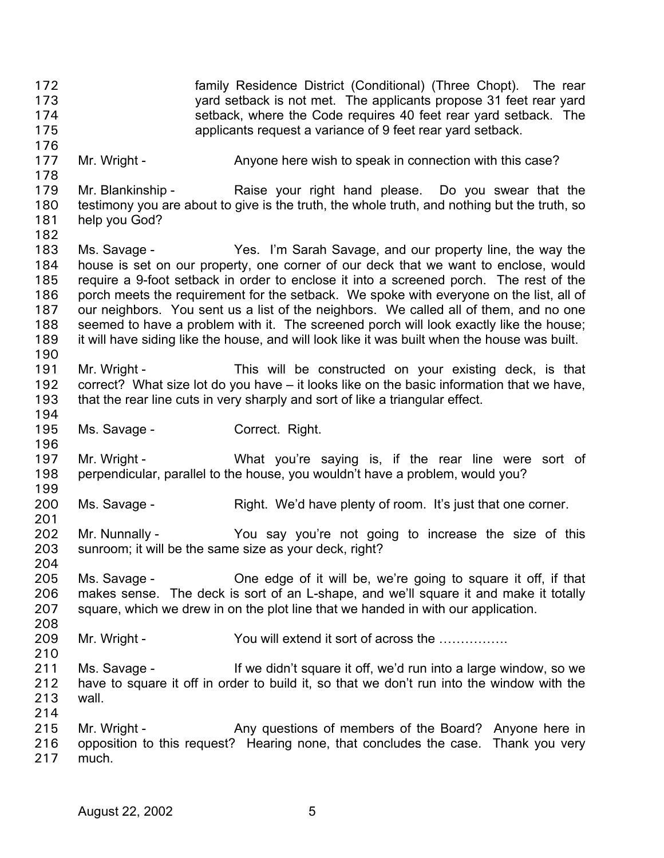family Residence District (Conditional) (Three Chopt). The rear yard setback is not met. The applicants propose 31 feet rear yard setback, where the Code requires 40 feet rear yard setback. The applicants request a variance of 9 feet rear yard setback. 172 173 174 175 176 177 178 179 180 181 182 183 184 185 186 187 188 189 190 191 192 193 194 195 196 197 198 199 200 201 202 203 204 205 206 207 208 209 210 211 212 213 214 215 216 217 Mr. Wright - Anyone here wish to speak in connection with this case? Mr. Blankinship - Raise your right hand please. Do you swear that the testimony you are about to give is the truth, the whole truth, and nothing but the truth, so help you God? Ms. Savage - Yes. I'm Sarah Savage, and our property line, the way the house is set on our property, one corner of our deck that we want to enclose, would require a 9-foot setback in order to enclose it into a screened porch. The rest of the porch meets the requirement for the setback. We spoke with everyone on the list, all of our neighbors. You sent us a list of the neighbors. We called all of them, and no one seemed to have a problem with it. The screened porch will look exactly like the house; it will have siding like the house, and will look like it was built when the house was built. Mr. Wright - This will be constructed on your existing deck, is that correct? What size lot do you have – it looks like on the basic information that we have, that the rear line cuts in very sharply and sort of like a triangular effect. Ms. Savage - Correct. Right. Mr. Wright - What you're saying is, if the rear line were sort of perpendicular, parallel to the house, you wouldn't have a problem, would you? Ms. Savage - Right. We'd have plenty of room. It's just that one corner. Mr. Nunnally - You say you're not going to increase the size of this sunroom; it will be the same size as your deck, right? Ms. Savage - Che edge of it will be, we're going to square it off, if that makes sense. The deck is sort of an L-shape, and we'll square it and make it totally square, which we drew in on the plot line that we handed in with our application. Mr. Wright - You will extend it sort of across the ................ Ms. Savage - If we didn't square it off, we'd run into a large window, so we have to square it off in order to build it, so that we don't run into the window with the wall. Mr. Wright - Any questions of members of the Board? Anyone here in opposition to this request? Hearing none, that concludes the case. Thank you very much.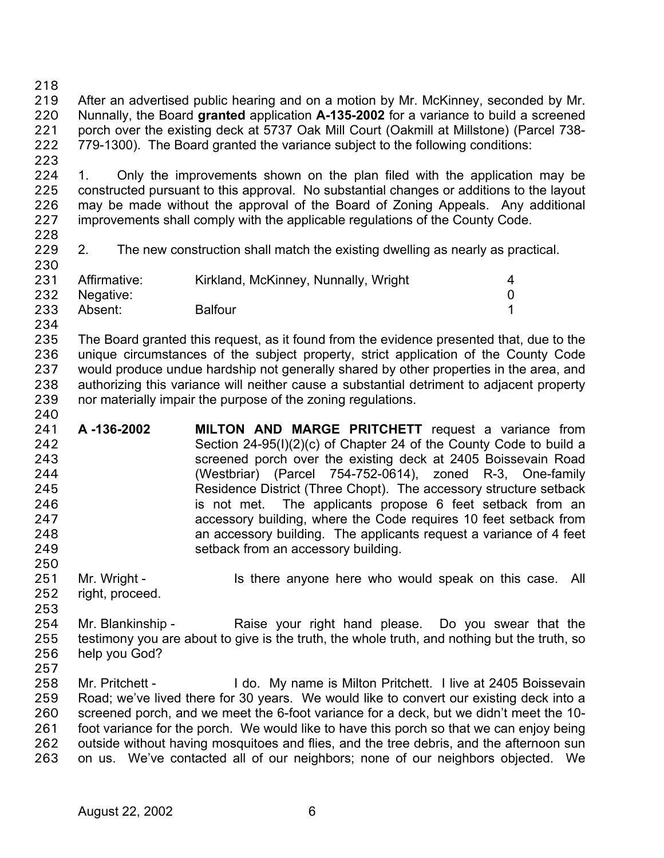218

223

240

219 220 221 222 After an advertised public hearing and on a motion by Mr. McKinney, seconded by Mr. Nunnally, the Board **granted** application **A-135-2002** for a variance to build a screened porch over the existing deck at 5737 Oak Mill Court (Oakmill at Millstone) (Parcel 738- 779-1300). The Board granted the variance subject to the following conditions:

224 225 226 227 228 1. Only the improvements shown on the plan filed with the application may be constructed pursuant to this approval. No substantial changes or additions to the layout may be made without the approval of the Board of Zoning Appeals. Any additional improvements shall comply with the applicable regulations of the County Code.

229 230 2. The new construction shall match the existing dwelling as nearly as practical.

| 231 | Affirmative:  | Kirkland, McKinney, Nunnally, Wright |  |
|-----|---------------|--------------------------------------|--|
|     | 232 Negative: |                                      |  |
| 233 | Absent:       | <b>Balfour</b>                       |  |
| 234 |               |                                      |  |

235 236 237 238 239 The Board granted this request, as it found from the evidence presented that, due to the unique circumstances of the subject property, strict application of the County Code would produce undue hardship not generally shared by other properties in the area, and authorizing this variance will neither cause a substantial detriment to adjacent property nor materially impair the purpose of the zoning regulations.

- 241 242 243 244 245 246 247 248 249 **A -136-2002 MILTON AND MARGE PRITCHETT** request a variance from Section 24-95(I)(2)(c) of Chapter 24 of the County Code to build a screened porch over the existing deck at 2405 Boissevain Road (Westbriar) (Parcel 754-752-0614), zoned R-3, One-family Residence District (Three Chopt). The accessory structure setback is not met. The applicants propose 6 feet setback from an accessory building, where the Code requires 10 feet setback from an accessory building. The applicants request a variance of 4 feet setback from an accessory building.
- 251 Mr. Wright - The Is there anyone here who would speak on this case. All
- 252 right, proceed.
- 253 254 255 256 Mr. Blankinship - The Raise your right hand please. Do you swear that the testimony you are about to give is the truth, the whole truth, and nothing but the truth, so help you God?
- 257

250

258 259 260 261 262 263 Mr. Pritchett - I do. My name is Milton Pritchett. I live at 2405 Boissevain Road; we've lived there for 30 years. We would like to convert our existing deck into a screened porch, and we meet the 6-foot variance for a deck, but we didn't meet the 10 foot variance for the porch. We would like to have this porch so that we can enjoy being outside without having mosquitoes and flies, and the tree debris, and the afternoon sun on us. We've contacted all of our neighbors; none of our neighbors objected. We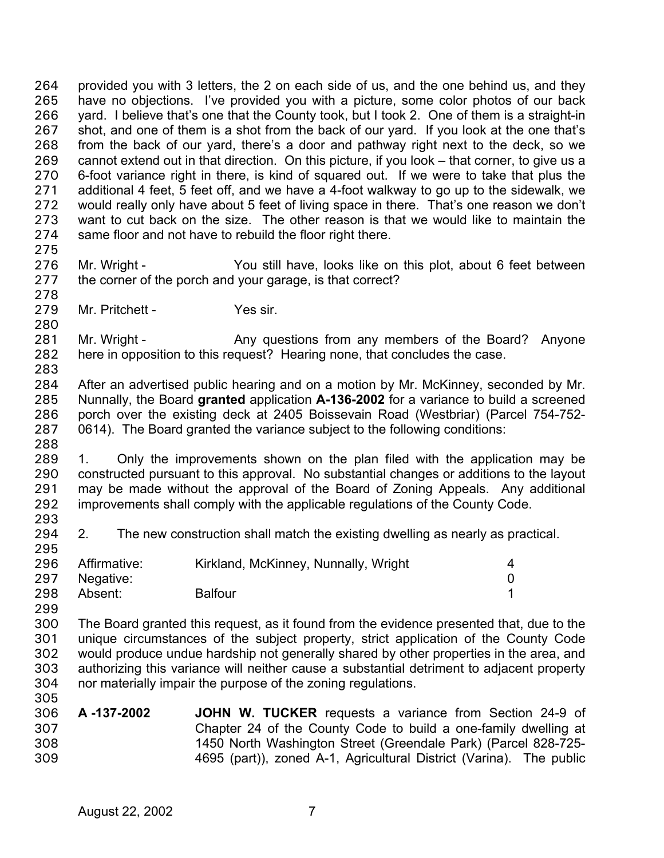provided you with 3 letters, the 2 on each side of us, and the one behind us, and they have no objections. I've provided you with a picture, some color photos of our back yard. I believe that's one that the County took, but I took 2. One of them is a straight-in shot, and one of them is a shot from the back of our yard. If you look at the one that's from the back of our yard, there's a door and pathway right next to the deck, so we cannot extend out in that direction. On this picture, if you look – that corner, to give us a 6-foot variance right in there, is kind of squared out. If we were to take that plus the additional 4 feet, 5 feet off, and we have a 4-foot walkway to go up to the sidewalk, we would really only have about 5 feet of living space in there. That's one reason we don't want to cut back on the size. The other reason is that we would like to maintain the same floor and not have to rebuild the floor right there. 264 265 266 267 268 269 270 271 272 273 274 275

276 277 278 Mr. Wright - You still have, looks like on this plot, about 6 feet between the corner of the porch and your garage, is that correct?

279 Mr. Pritchett - Yes sir.

281 282 283 Mr. Wright - Any questions from any members of the Board? Anyone here in opposition to this request? Hearing none, that concludes the case.

284 285 286 287 After an advertised public hearing and on a motion by Mr. McKinney, seconded by Mr. Nunnally, the Board **granted** application **A-136-2002** for a variance to build a screened porch over the existing deck at 2405 Boissevain Road (Westbriar) (Parcel 754-752- 0614). The Board granted the variance subject to the following conditions:

289 290 291 292 293 1. Only the improvements shown on the plan filed with the application may be constructed pursuant to this approval. No substantial changes or additions to the layout may be made without the approval of the Board of Zoning Appeals. Any additional improvements shall comply with the applicable regulations of the County Code.

294 295 2. The new construction shall match the existing dwelling as nearly as practical.

| 296 | Affirmative:  | Kirkland, McKinney, Nunnally, Wright |  |
|-----|---------------|--------------------------------------|--|
|     | 297 Negative: |                                      |  |
| 298 | Absent:       | <b>Balfour</b>                       |  |

299

280

288

300 301 302 303 304 305 The Board granted this request, as it found from the evidence presented that, due to the unique circumstances of the subject property, strict application of the County Code would produce undue hardship not generally shared by other properties in the area, and authorizing this variance will neither cause a substantial detriment to adjacent property nor materially impair the purpose of the zoning regulations.

306 307 308 309 **A -137-2002 JOHN W. TUCKER** requests a variance from Section 24-9 of Chapter 24 of the County Code to build a one-family dwelling at 1450 North Washington Street (Greendale Park) (Parcel 828-725- 4695 (part)), zoned A-1, Agricultural District (Varina). The public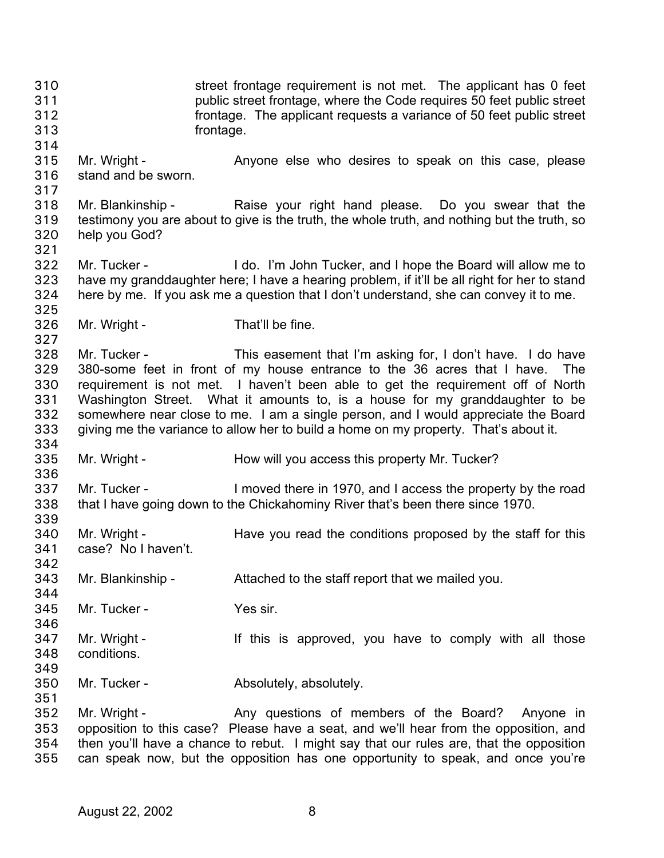street frontage requirement is not met. The applicant has 0 feet public street frontage, where the Code requires 50 feet public street frontage. The applicant requests a variance of 50 feet public street frontage. 310 311 312 313 314 315 316 317 318 319 320 321 322 323 324 325 326 327 328 329 330 331 332 333 334 335 336 337 338 339 340 341 342 343 344 345 346 347 348 349 350 351 352 353 354 355 Mr. Wright - Anyone else who desires to speak on this case, please stand and be sworn. Mr. Blankinship - The Raise your right hand please. Do you swear that the testimony you are about to give is the truth, the whole truth, and nothing but the truth, so help you God? Mr. Tucker - I do. I'm John Tucker, and I hope the Board will allow me to have my granddaughter here; I have a hearing problem, if it'll be all right for her to stand here by me. If you ask me a question that I don't understand, she can convey it to me. Mr. Wright - That'll be fine. Mr. Tucker - This easement that I'm asking for, I don't have. I do have 380-some feet in front of my house entrance to the 36 acres that I have. The requirement is not met. I haven't been able to get the requirement off of North Washington Street. What it amounts to, is a house for my granddaughter to be somewhere near close to me. I am a single person, and I would appreciate the Board giving me the variance to allow her to build a home on my property. That's about it. Mr. Wright - **How will you access this property Mr. Tucker?** Mr. Tucker - I moved there in 1970, and I access the property by the road that I have going down to the Chickahominy River that's been there since 1970. Mr. Wright - Have you read the conditions proposed by the staff for this case? No I haven't. Mr. Blankinship - Attached to the staff report that we mailed you. Mr. Tucker - Yes sir. Mr. Wright - The Mr is approved, you have to comply with all those conditions. Mr. Tucker - **Absolutely**, absolutely. Mr. Wright - The Any questions of members of the Board? Anyone in opposition to this case? Please have a seat, and we'll hear from the opposition, and then you'll have a chance to rebut. I might say that our rules are, that the opposition can speak now, but the opposition has one opportunity to speak, and once you're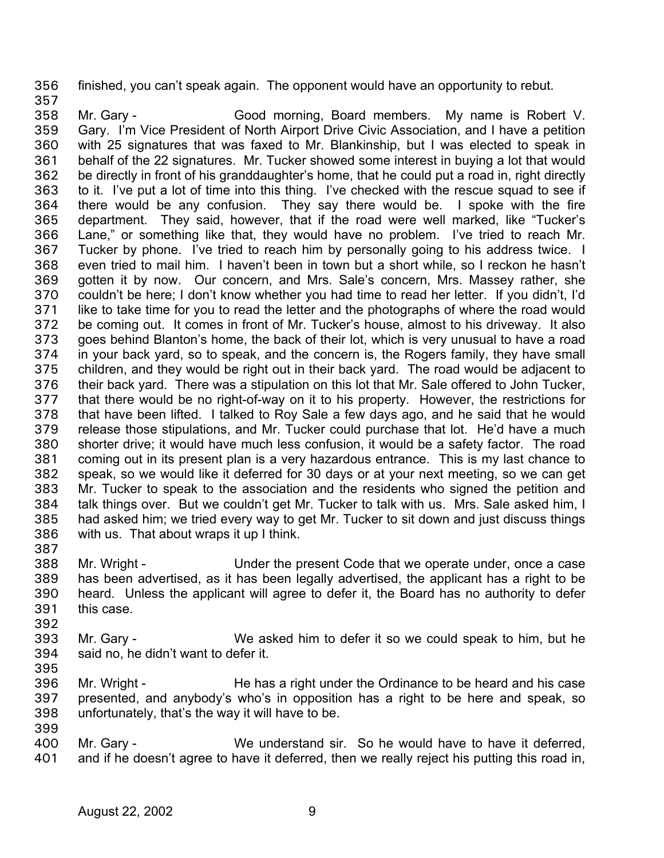356 finished, you can't speak again. The opponent would have an opportunity to rebut. 357

358 359 360 361 362 363 364 365 366 367 368 369 370 371 372 373 374 375 376 377 378 379 380 381 382 383 384 385 386 Mr. Gary - Good morning, Board members. My name is Robert V. Gary. I'm Vice President of North Airport Drive Civic Association, and I have a petition with 25 signatures that was faxed to Mr. Blankinship, but I was elected to speak in behalf of the 22 signatures. Mr. Tucker showed some interest in buying a lot that would be directly in front of his granddaughter's home, that he could put a road in, right directly to it. I've put a lot of time into this thing. I've checked with the rescue squad to see if there would be any confusion. They say there would be. I spoke with the fire department. They said, however, that if the road were well marked, like "Tucker's Lane," or something like that, they would have no problem. I've tried to reach Mr. Tucker by phone. I've tried to reach him by personally going to his address twice. I even tried to mail him. I haven't been in town but a short while, so I reckon he hasn't gotten it by now. Our concern, and Mrs. Sale's concern, Mrs. Massey rather, she couldn't be here; I don't know whether you had time to read her letter. If you didn't, I'd like to take time for you to read the letter and the photographs of where the road would be coming out. It comes in front of Mr. Tucker's house, almost to his driveway. It also goes behind Blanton's home, the back of their lot, which is very unusual to have a road in your back yard, so to speak, and the concern is, the Rogers family, they have small children, and they would be right out in their back yard. The road would be adjacent to their back yard. There was a stipulation on this lot that Mr. Sale offered to John Tucker, that there would be no right-of-way on it to his property. However, the restrictions for that have been lifted. I talked to Roy Sale a few days ago, and he said that he would release those stipulations, and Mr. Tucker could purchase that lot. He'd have a much shorter drive; it would have much less confusion, it would be a safety factor. The road coming out in its present plan is a very hazardous entrance. This is my last chance to speak, so we would like it deferred for 30 days or at your next meeting, so we can get Mr. Tucker to speak to the association and the residents who signed the petition and talk things over. But we couldn't get Mr. Tucker to talk with us. Mrs. Sale asked him, I had asked him; we tried every way to get Mr. Tucker to sit down and just discuss things with us. That about wraps it up I think.

387

388 389 390 391 Mr. Wright - Under the present Code that we operate under, once a case has been advertised, as it has been legally advertised, the applicant has a right to be heard. Unless the applicant will agree to defer it, the Board has no authority to defer this case.

- 393 394 Mr. Gary - We asked him to defer it so we could speak to him, but he said no, he didn't want to defer it.
- 395

392

396 397 Mr. Wright - He has a right under the Ordinance to be heard and his case presented, and anybody's who's in opposition has a right to be here and speak, so

398 399 unfortunately, that's the way it will have to be.

400 401 Mr. Gary - We understand sir. So he would have to have it deferred, and if he doesn't agree to have it deferred, then we really reject his putting this road in,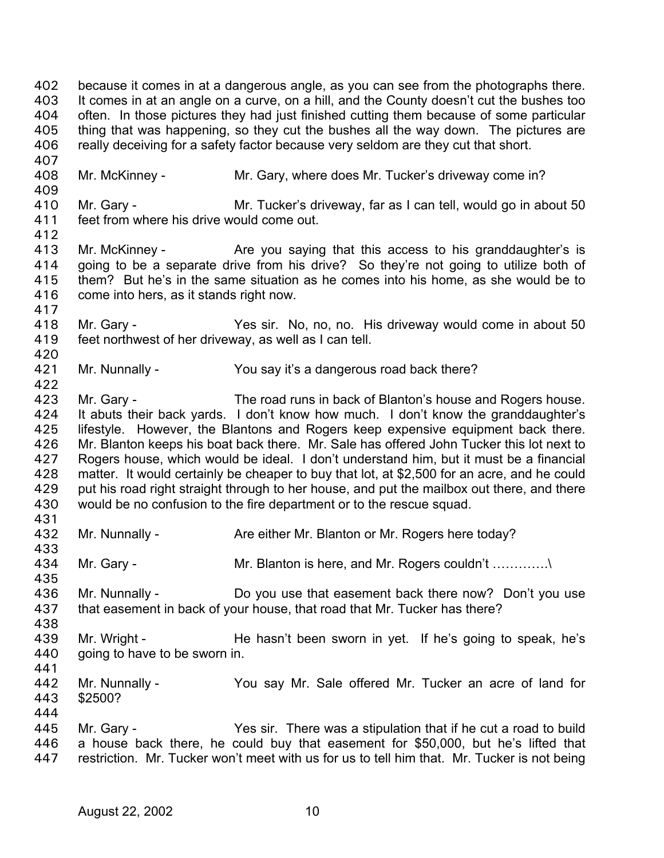because it comes in at a dangerous angle, as you can see from the photographs there. It comes in at an angle on a curve, on a hill, and the County doesn't cut the bushes too often. In those pictures they had just finished cutting them because of some particular thing that was happening, so they cut the bushes all the way down. The pictures are really deceiving for a safety factor because very seldom are they cut that short. 402 403 404 405 406 407 408 409 410 411 412 413 414 415 416 417 418 419 420 421 422 423 424 425 426 427 428 429 430 431 432 433 434 435 436 437 438 439 440 441 442 443 444 445 446 447 Mr. McKinney - Mr. Gary, where does Mr. Tucker's driveway come in? Mr. Gary - **Mr. Tucker's driveway, far as I can tell, would go in about 50** feet from where his drive would come out. Mr. McKinney - The you saying that this access to his granddaughter's is going to be a separate drive from his drive? So they're not going to utilize both of them? But he's in the same situation as he comes into his home, as she would be to come into hers, as it stands right now. Mr. Gary - Yes sir. No, no, no. His driveway would come in about 50 feet northwest of her driveway, as well as I can tell. Mr. Nunnally - You say it's a dangerous road back there? Mr. Gary - The road runs in back of Blanton's house and Rogers house. It abuts their back yards. I don't know how much. I don't know the granddaughter's lifestyle. However, the Blantons and Rogers keep expensive equipment back there. Mr. Blanton keeps his boat back there. Mr. Sale has offered John Tucker this lot next to Rogers house, which would be ideal. I don't understand him, but it must be a financial matter. It would certainly be cheaper to buy that lot, at \$2,500 for an acre, and he could put his road right straight through to her house, and put the mailbox out there, and there would be no confusion to the fire department or to the rescue squad. Mr. Nunnally - Are either Mr. Blanton or Mr. Rogers here today? Mr. Gary - Mr. Blanton is here, and Mr. Rogers couldn't .............. Mr. Nunnally - Do you use that easement back there now? Don't you use that easement in back of your house, that road that Mr. Tucker has there? Mr. Wright - He hasn't been sworn in yet. If he's going to speak, he's going to have to be sworn in. Mr. Nunnally - You say Mr. Sale offered Mr. Tucker an acre of land for \$2500? Mr. Gary - There was a stipulation that if he cut a road to build a house back there, he could buy that easement for \$50,000, but he's lifted that restriction. Mr. Tucker won't meet with us for us to tell him that. Mr. Tucker is not being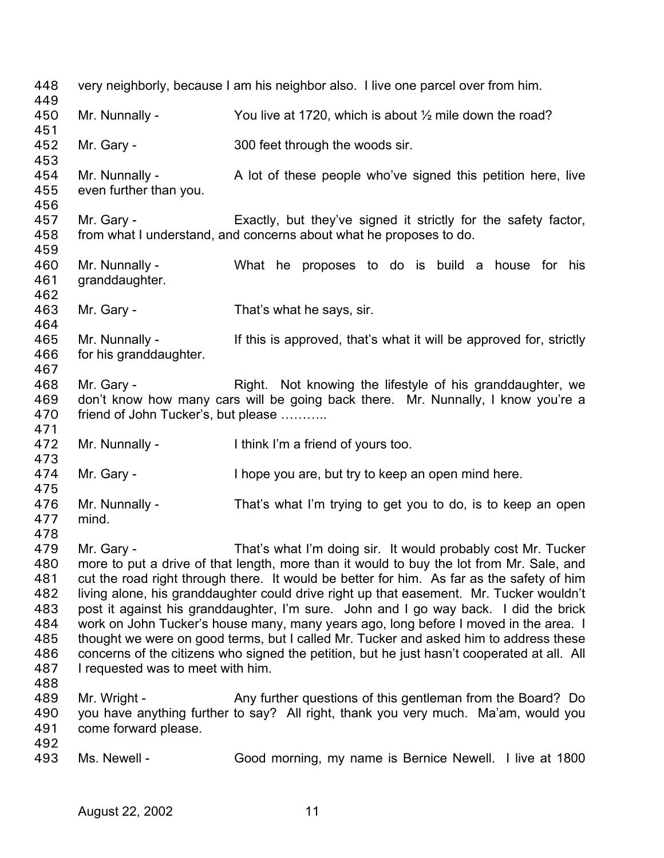| 448<br>449                                                                |                                                   | very neighborly, because I am his neighbor also. I live one parcel over from him.                                                                                                                                                                                                                                                                                                                                                                                                                                                                                                                                                                                                                                        |
|---------------------------------------------------------------------------|---------------------------------------------------|--------------------------------------------------------------------------------------------------------------------------------------------------------------------------------------------------------------------------------------------------------------------------------------------------------------------------------------------------------------------------------------------------------------------------------------------------------------------------------------------------------------------------------------------------------------------------------------------------------------------------------------------------------------------------------------------------------------------------|
| 450<br>451                                                                | Mr. Nunnally -                                    | You live at 1720, which is about $\frac{1}{2}$ mile down the road?                                                                                                                                                                                                                                                                                                                                                                                                                                                                                                                                                                                                                                                       |
| 452<br>453                                                                | Mr. Gary -                                        | 300 feet through the woods sir.                                                                                                                                                                                                                                                                                                                                                                                                                                                                                                                                                                                                                                                                                          |
| 454<br>455<br>456                                                         | Mr. Nunnally -<br>even further than you.          | A lot of these people who've signed this petition here, live                                                                                                                                                                                                                                                                                                                                                                                                                                                                                                                                                                                                                                                             |
| 457<br>458<br>459                                                         | Mr. Gary -                                        | Exactly, but they've signed it strictly for the safety factor,<br>from what I understand, and concerns about what he proposes to do.                                                                                                                                                                                                                                                                                                                                                                                                                                                                                                                                                                                     |
| 460<br>461<br>462                                                         | Mr. Nunnally -<br>granddaughter.                  | What he proposes to do is build a house for his                                                                                                                                                                                                                                                                                                                                                                                                                                                                                                                                                                                                                                                                          |
| 463<br>464                                                                | Mr. Gary -                                        | That's what he says, sir.                                                                                                                                                                                                                                                                                                                                                                                                                                                                                                                                                                                                                                                                                                |
| 465<br>466<br>467                                                         | Mr. Nunnally -<br>for his granddaughter.          | If this is approved, that's what it will be approved for, strictly                                                                                                                                                                                                                                                                                                                                                                                                                                                                                                                                                                                                                                                       |
| 468<br>469<br>470                                                         | Mr. Gary -<br>friend of John Tucker's, but please | Right. Not knowing the lifestyle of his granddaughter, we<br>don't know how many cars will be going back there. Mr. Nunnally, I know you're a                                                                                                                                                                                                                                                                                                                                                                                                                                                                                                                                                                            |
|                                                                           |                                                   |                                                                                                                                                                                                                                                                                                                                                                                                                                                                                                                                                                                                                                                                                                                          |
| 471<br>472                                                                | Mr. Nunnally -                                    | I think I'm a friend of yours too.                                                                                                                                                                                                                                                                                                                                                                                                                                                                                                                                                                                                                                                                                       |
| 473<br>474                                                                | Mr. Gary -                                        | I hope you are, but try to keep an open mind here.                                                                                                                                                                                                                                                                                                                                                                                                                                                                                                                                                                                                                                                                       |
| 475<br>476<br>477                                                         | Mr. Nunnally -<br>mind.                           | That's what I'm trying to get you to do, is to keep an open                                                                                                                                                                                                                                                                                                                                                                                                                                                                                                                                                                                                                                                              |
| 478<br>479<br>480<br>481<br>482<br>483<br>484<br>485<br>486<br>487<br>488 | Mr. Gary -<br>I requested was to meet with him.   | That's what I'm doing sir. It would probably cost Mr. Tucker<br>more to put a drive of that length, more than it would to buy the lot from Mr. Sale, and<br>cut the road right through there. It would be better for him. As far as the safety of him<br>living alone, his granddaughter could drive right up that easement. Mr. Tucker wouldn't<br>post it against his granddaughter, I'm sure. John and I go way back. I did the brick<br>work on John Tucker's house many, many years ago, long before I moved in the area. I<br>thought we were on good terms, but I called Mr. Tucker and asked him to address these<br>concerns of the citizens who signed the petition, but he just hasn't cooperated at all. All |
| 489<br>490<br>491<br>492                                                  | Mr. Wright -<br>come forward please.              | Any further questions of this gentleman from the Board? Do<br>you have anything further to say? All right, thank you very much. Ma'am, would you                                                                                                                                                                                                                                                                                                                                                                                                                                                                                                                                                                         |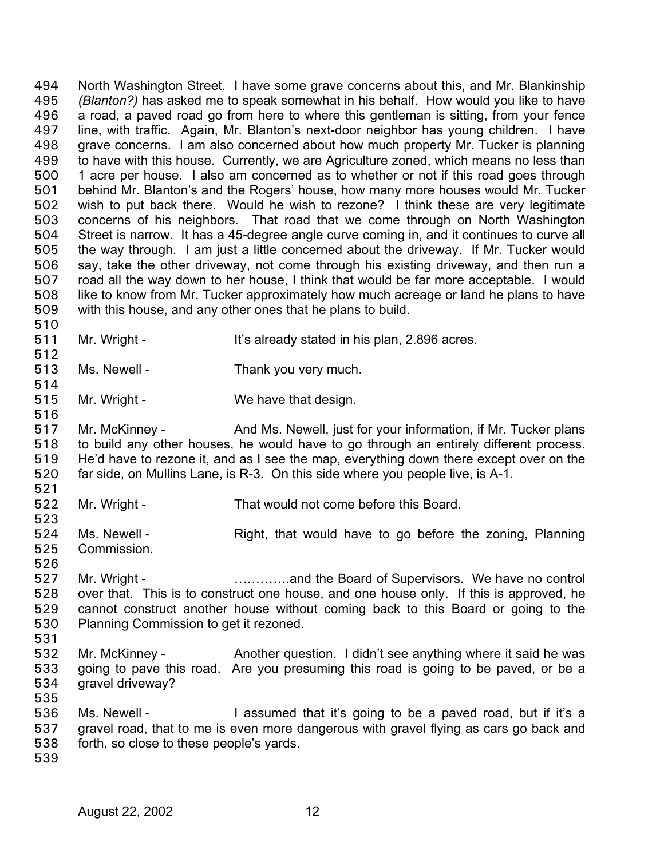North Washington Street. I have some grave concerns about this, and Mr. Blankinship *(Blanton?)* has asked me to speak somewhat in his behalf. How would you like to have a road, a paved road go from here to where this gentleman is sitting, from your fence line, with traffic. Again, Mr. Blanton's next-door neighbor has young children. I have grave concerns. I am also concerned about how much property Mr. Tucker is planning to have with this house. Currently, we are Agriculture zoned, which means no less than 1 acre per house. I also am concerned as to whether or not if this road goes through behind Mr. Blanton's and the Rogers' house, how many more houses would Mr. Tucker wish to put back there. Would he wish to rezone? I think these are very legitimate concerns of his neighbors. That road that we come through on North Washington Street is narrow. It has a 45-degree angle curve coming in, and it continues to curve all the way through. I am just a little concerned about the driveway. If Mr. Tucker would say, take the other driveway, not come through his existing driveway, and then run a road all the way down to her house, I think that would be far more acceptable. I would like to know from Mr. Tucker approximately how much acreage or land he plans to have with this house, and any other ones that he plans to build. 494 495 496 497 498 499 500 501 502 503 504 505 506 507 508 509 510

- 511 Mr. Wright - It's already stated in his plan, 2.896 acres.
- 513 Ms. Newell - Thank you very much.
- 515 Mr. Wright - We have that design.
- 517 518 519 520 Mr. McKinney - And Ms. Newell, just for your information, if Mr. Tucker plans to build any other houses, he would have to go through an entirely different process. He'd have to rezone it, and as I see the map, everything down there except over on the far side, on Mullins Lane, is R-3. On this side where you people live, is A-1.
- 522 Mr. Wright - That would not come before this Board.
- 524 525 Ms. Newell - Right, that would have to go before the zoning, Planning Commission.
- 526

512

514

516

521

- 527 528 529 530 531 Mr. Wright - **Example 20** match in the Board of Supervisors. We have no control over that. This is to construct one house, and one house only. If this is approved, he cannot construct another house without coming back to this Board or going to the Planning Commission to get it rezoned.
- 532 533 534 535 Mr. McKinney - Another question. I didn't see anything where it said he was going to pave this road. Are you presuming this road is going to be paved, or be a gravel driveway?
- 536 537 538 Ms. Newell - I assumed that it's going to be a paved road, but if it's a gravel road, that to me is even more dangerous with gravel flying as cars go back and forth, so close to these people's yards.
- 539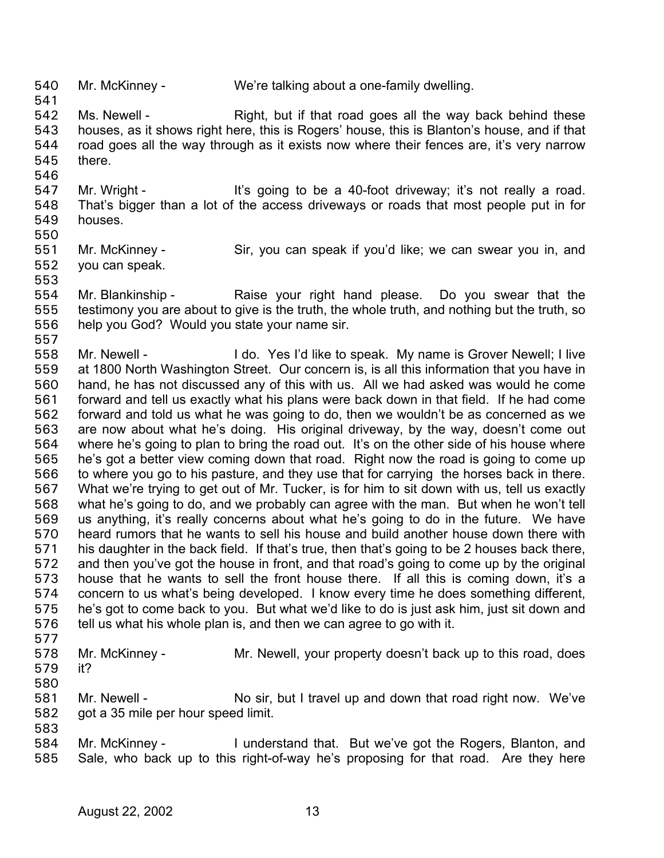540 Mr. McKinney - We're talking about a one-family dwelling. 541

542 543 544 545 546 Ms. Newell - Right, but if that road goes all the way back behind these houses, as it shows right here, this is Rogers' house, this is Blanton's house, and if that road goes all the way through as it exists now where their fences are, it's very narrow there.

547 548 549 Mr. Wright - It's going to be a 40-foot driveway; it's not really a road. That's bigger than a lot of the access driveways or roads that most people put in for houses.

550

553

551 552 Mr. McKinney - Sir, you can speak if you'd like; we can swear you in, and you can speak.

554 555 556 Mr. Blankinship - Raise your right hand please. Do you swear that the testimony you are about to give is the truth, the whole truth, and nothing but the truth, so help you God? Would you state your name sir.

557 558 559 560 561 562 563 564 565 566 567 568 569 570 571 572 573 574 575 576 Mr. Newell - I do. Yes I'd like to speak. My name is Grover Newell; I live at 1800 North Washington Street. Our concern is, is all this information that you have in hand, he has not discussed any of this with us. All we had asked was would he come forward and tell us exactly what his plans were back down in that field. If he had come forward and told us what he was going to do, then we wouldn't be as concerned as we are now about what he's doing. His original driveway, by the way, doesn't come out where he's going to plan to bring the road out. It's on the other side of his house where he's got a better view coming down that road. Right now the road is going to come up to where you go to his pasture, and they use that for carrying the horses back in there. What we're trying to get out of Mr. Tucker, is for him to sit down with us, tell us exactly what he's going to do, and we probably can agree with the man. But when he won't tell us anything, it's really concerns about what he's going to do in the future. We have heard rumors that he wants to sell his house and build another house down there with his daughter in the back field. If that's true, then that's going to be 2 houses back there, and then you've got the house in front, and that road's going to come up by the original house that he wants to sell the front house there. If all this is coming down, it's a concern to us what's being developed. I know every time he does something different, he's got to come back to you. But what we'd like to do is just ask him, just sit down and tell us what his whole plan is, and then we can agree to go with it.

577

580

578 579 Mr. McKinney - Mr. Newell, your property doesn't back up to this road, does it?

581 582 583 Mr. Newell - No sir, but I travel up and down that road right now. We've got a 35 mile per hour speed limit.

584 585 Mr. McKinney - I understand that. But we've got the Rogers, Blanton, and Sale, who back up to this right-of-way he's proposing for that road. Are they here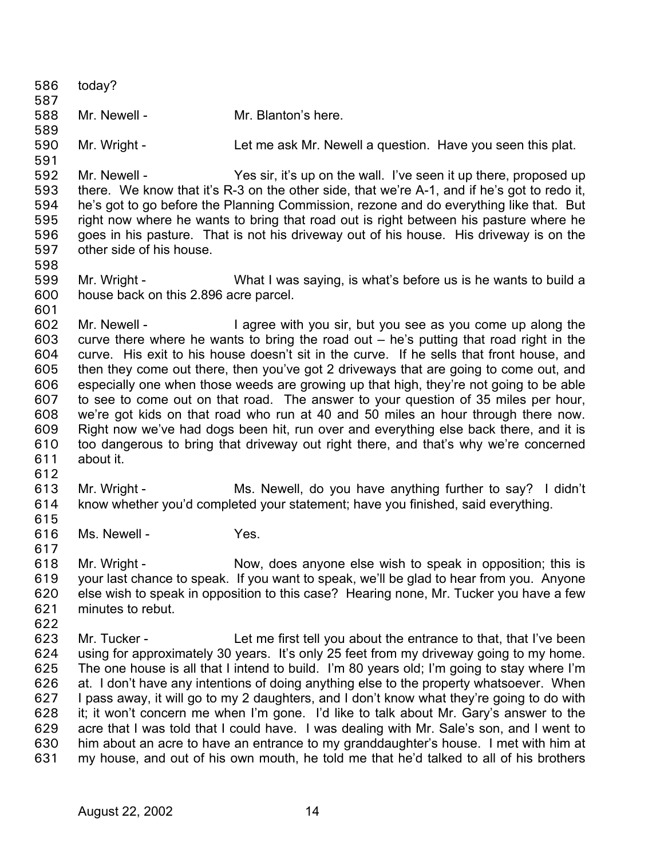| 586        | today?                                |                                                                                                                                                                                      |
|------------|---------------------------------------|--------------------------------------------------------------------------------------------------------------------------------------------------------------------------------------|
| 587        |                                       |                                                                                                                                                                                      |
| 588<br>589 | Mr. Newell -                          | Mr. Blanton's here.                                                                                                                                                                  |
| 590        | Mr. Wright -                          | Let me ask Mr. Newell a question. Have you seen this plat.                                                                                                                           |
| 591        |                                       |                                                                                                                                                                                      |
| 592        | Mr. Newell -                          | Yes sir, it's up on the wall. I've seen it up there, proposed up                                                                                                                     |
| 593        |                                       | there. We know that it's R-3 on the other side, that we're A-1, and if he's got to redo it,                                                                                          |
| 594        |                                       | he's got to go before the Planning Commission, rezone and do everything like that. But                                                                                               |
| 595        |                                       | right now where he wants to bring that road out is right between his pasture where he                                                                                                |
| 596        |                                       | goes in his pasture. That is not his driveway out of his house. His driveway is on the                                                                                               |
| 597<br>598 | other side of his house.              |                                                                                                                                                                                      |
| 599        | Mr. Wright -                          | What I was saying, is what's before us is he wants to build a                                                                                                                        |
| 600        | house back on this 2.896 acre parcel. |                                                                                                                                                                                      |
| 601        |                                       |                                                                                                                                                                                      |
| 602        | Mr. Newell -                          | I agree with you sir, but you see as you come up along the                                                                                                                           |
| 603        |                                       | curve there where he wants to bring the road out $-$ he's putting that road right in the                                                                                             |
| 604        |                                       | curve. His exit to his house doesn't sit in the curve. If he sells that front house, and                                                                                             |
| 605        |                                       | then they come out there, then you've got 2 driveways that are going to come out, and                                                                                                |
| 606<br>607 |                                       | especially one when those weeds are growing up that high, they're not going to be able                                                                                               |
| 608        |                                       | to see to come out on that road. The answer to your question of 35 miles per hour,<br>we're got kids on that road who run at 40 and 50 miles an hour through there now.              |
| 609        |                                       | Right now we've had dogs been hit, run over and everything else back there, and it is                                                                                                |
| 610        |                                       | too dangerous to bring that driveway out right there, and that's why we're concerned                                                                                                 |
| 611        | about it.                             |                                                                                                                                                                                      |
| 612        |                                       |                                                                                                                                                                                      |
| 613        | Mr. Wright -                          | Ms. Newell, do you have anything further to say? I didn't                                                                                                                            |
| 614        |                                       | know whether you'd completed your statement; have you finished, said everything.                                                                                                     |
| 615<br>616 | Ms. Newell -                          | Yes.                                                                                                                                                                                 |
| 617        |                                       |                                                                                                                                                                                      |
| 618        | Mr. Wright -                          | Now, does anyone else wish to speak in opposition; this is                                                                                                                           |
| 619        |                                       | your last chance to speak. If you want to speak, we'll be glad to hear from you. Anyone                                                                                              |
| 620        |                                       | else wish to speak in opposition to this case? Hearing none, Mr. Tucker you have a few                                                                                               |
| 621        | minutes to rebut.                     |                                                                                                                                                                                      |
| 622        |                                       |                                                                                                                                                                                      |
| 623        | Mr. Tucker -                          | Let me first tell you about the entrance to that, that I've been                                                                                                                     |
| 624<br>625 |                                       | using for approximately 30 years. It's only 25 feet from my driveway going to my home.<br>The one house is all that I intend to build. I'm 80 years old; I'm going to stay where I'm |
| 626        |                                       | at. I don't have any intentions of doing anything else to the property whatsoever. When                                                                                              |
| 627        |                                       | I pass away, it will go to my 2 daughters, and I don't know what they're going to do with                                                                                            |
| 628        |                                       | it; it won't concern me when I'm gone. I'd like to talk about Mr. Gary's answer to the                                                                                               |
| 629        |                                       | acre that I was told that I could have. I was dealing with Mr. Sale's son, and I went to                                                                                             |
| 630        |                                       | him about an acre to have an entrance to my granddaughter's house. I met with him at                                                                                                 |
| 631        |                                       | my house, and out of his own mouth, he told me that he'd talked to all of his brothers                                                                                               |
|            |                                       |                                                                                                                                                                                      |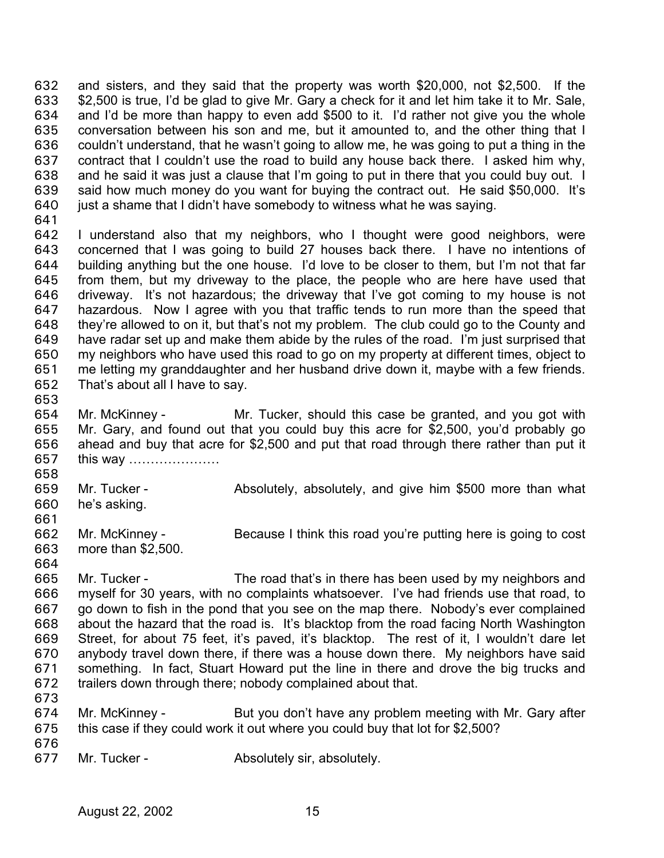and sisters, and they said that the property was worth \$20,000, not \$2,500. If the \$2,500 is true, I'd be glad to give Mr. Gary a check for it and let him take it to Mr. Sale, and I'd be more than happy to even add \$500 to it. I'd rather not give you the whole conversation between his son and me, but it amounted to, and the other thing that I couldn't understand, that he wasn't going to allow me, he was going to put a thing in the contract that I couldn't use the road to build any house back there. I asked him why, and he said it was just a clause that I'm going to put in there that you could buy out. I said how much money do you want for buying the contract out. He said \$50,000. It's just a shame that I didn't have somebody to witness what he was saying. 632 633 634 635 636 637 638 639 640

641

642 643 644 645 646 647 648 649 650 651 652 I understand also that my neighbors, who I thought were good neighbors, were concerned that I was going to build 27 houses back there. I have no intentions of building anything but the one house. I'd love to be closer to them, but I'm not that far from them, but my driveway to the place, the people who are here have used that driveway. It's not hazardous; the driveway that I've got coming to my house is not hazardous. Now I agree with you that traffic tends to run more than the speed that they're allowed to on it, but that's not my problem. The club could go to the County and have radar set up and make them abide by the rules of the road. I'm just surprised that my neighbors who have used this road to go on my property at different times, object to me letting my granddaughter and her husband drive down it, maybe with a few friends. That's about all I have to say.

653

654 655 656 657 658 Mr. McKinney - The Mr. Tucker, should this case be granted, and you got with Mr. Gary, and found out that you could buy this acre for \$2,500, you'd probably go ahead and buy that acre for \$2,500 and put that road through there rather than put it this way …………………

659 660 Mr. Tucker - **Absolutely, absolutely, and give him \$500 more than what** he's asking.

- 662 663 Mr. McKinney - Because I think this road you're putting here is going to cost more than \$2,500.
- 664

661

665 666 667 668 669 670 671 672 Mr. Tucker - The road that's in there has been used by my neighbors and myself for 30 years, with no complaints whatsoever. I've had friends use that road, to go down to fish in the pond that you see on the map there. Nobody's ever complained about the hazard that the road is. It's blacktop from the road facing North Washington Street, for about 75 feet, it's paved, it's blacktop. The rest of it, I wouldn't dare let anybody travel down there, if there was a house down there. My neighbors have said something. In fact, Stuart Howard put the line in there and drove the big trucks and trailers down through there; nobody complained about that.

- 673
- 674 675 Mr. McKinney - But you don't have any problem meeting with Mr. Gary after this case if they could work it out where you could buy that lot for \$2,500?
- 676

677 Mr. Tucker - **Absolutely sir, absolutely.**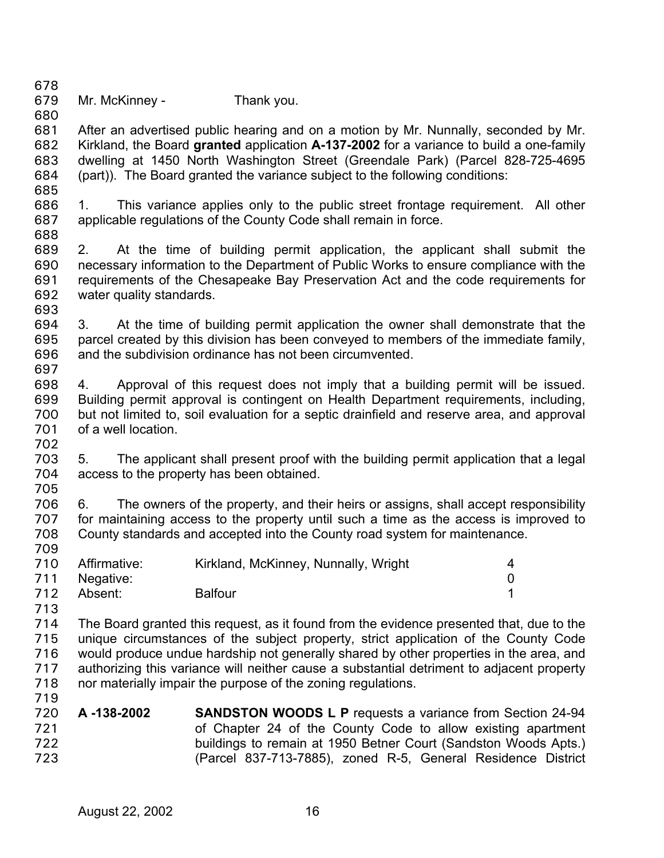| 679 | Mr. McKinney - | Thank you. |
|-----|----------------|------------|
| 680 |                |            |

681 682 683 684 After an advertised public hearing and on a motion by Mr. Nunnally, seconded by Mr. Kirkland, the Board **granted** application **A-137-2002** for a variance to build a one-family dwelling at 1450 North Washington Street (Greendale Park) (Parcel 828-725-4695 (part)). The Board granted the variance subject to the following conditions:

686 687 1. This variance applies only to the public street frontage requirement. All other applicable regulations of the County Code shall remain in force.

688

685

678

689 690 691 692 2. At the time of building permit application, the applicant shall submit the necessary information to the Department of Public Works to ensure compliance with the requirements of the Chesapeake Bay Preservation Act and the code requirements for water quality standards.

693

694 695 696 697 3. At the time of building permit application the owner shall demonstrate that the parcel created by this division has been conveyed to members of the immediate family, and the subdivision ordinance has not been circumvented.

698 699 700 701 702 4. Approval of this request does not imply that a building permit will be issued. Building permit approval is contingent on Health Department requirements, including, but not limited to, soil evaluation for a septic drainfield and reserve area, and approval of a well location.

703 704 705 5. The applicant shall present proof with the building permit application that a legal access to the property has been obtained.

706 707 708 709 6. The owners of the property, and their heirs or assigns, shall accept responsibility for maintaining access to the property until such a time as the access is improved to County standards and accepted into the County road system for maintenance.

|     | 710 Affirmative: | Kirkland, McKinney, Nunnally, Wright |  |
|-----|------------------|--------------------------------------|--|
|     | 711 Negative:    |                                      |  |
| 712 | Absent:          | <b>Balfour</b>                       |  |

713

714 715 716 717 718 719 The Board granted this request, as it found from the evidence presented that, due to the unique circumstances of the subject property, strict application of the County Code would produce undue hardship not generally shared by other properties in the area, and authorizing this variance will neither cause a substantial detriment to adjacent property nor materially impair the purpose of the zoning regulations.

720 721 722 723 **A -138-2002 SANDSTON WOODS L P** requests a variance from Section 24-94 of Chapter 24 of the County Code to allow existing apartment buildings to remain at 1950 Betner Court (Sandston Woods Apts.) (Parcel 837-713-7885), zoned R-5, General Residence District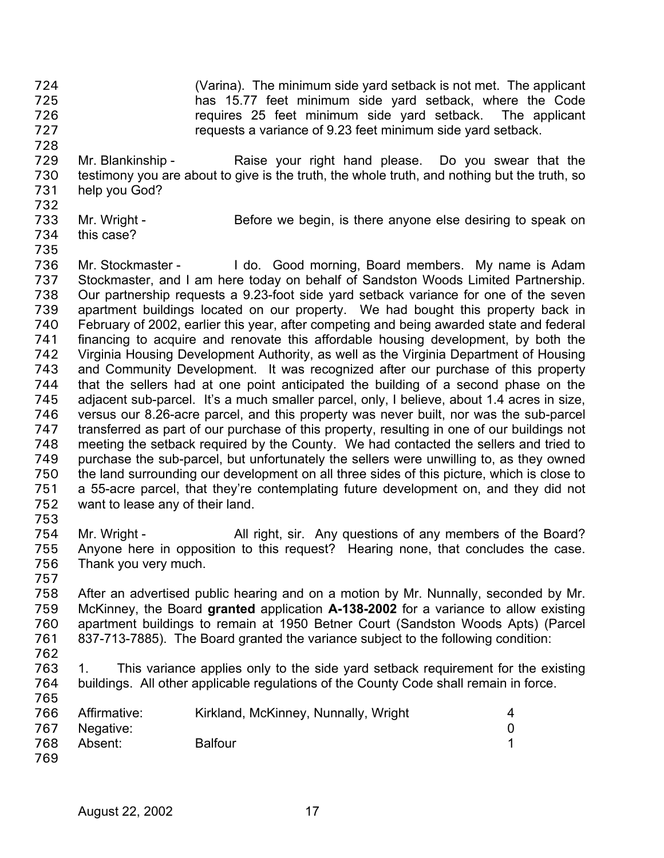(Varina). The minimum side yard setback is not met. The applicant has 15.77 feet minimum side yard setback, where the Code requires 25 feet minimum side yard setback. The applicant requests a variance of 9.23 feet minimum side yard setback. 724 725 726 727

- 729 730 731 Mr. Blankinship - Raise your right hand please. Do you swear that the testimony you are about to give is the truth, the whole truth, and nothing but the truth, so help you God?
- 732 733

this case?

- Mr. Wright Before we begin, is there anyone else desiring to speak on
- 734 735

728

736 737 738 739 740 741 742 743 744 745 746 747 748 749 750 751 752 753 Mr. Stockmaster - I do. Good morning, Board members. My name is Adam Stockmaster, and I am here today on behalf of Sandston Woods Limited Partnership. Our partnership requests a 9.23-foot side yard setback variance for one of the seven apartment buildings located on our property. We had bought this property back in February of 2002, earlier this year, after competing and being awarded state and federal financing to acquire and renovate this affordable housing development, by both the Virginia Housing Development Authority, as well as the Virginia Department of Housing and Community Development. It was recognized after our purchase of this property that the sellers had at one point anticipated the building of a second phase on the adjacent sub-parcel. It's a much smaller parcel, only, I believe, about 1.4 acres in size, versus our 8.26-acre parcel, and this property was never built, nor was the sub-parcel transferred as part of our purchase of this property, resulting in one of our buildings not meeting the setback required by the County. We had contacted the sellers and tried to purchase the sub-parcel, but unfortunately the sellers were unwilling to, as they owned the land surrounding our development on all three sides of this picture, which is close to a 55-acre parcel, that they're contemplating future development on, and they did not want to lease any of their land.

- 754 755 756 Mr. Wright - All right, sir. Any questions of any members of the Board? Anyone here in opposition to this request? Hearing none, that concludes the case. Thank you very much.
- 758 759 760 761 After an advertised public hearing and on a motion by Mr. Nunnally, seconded by Mr. McKinney, the Board **granted** application **A-138-2002** for a variance to allow existing apartment buildings to remain at 1950 Betner Court (Sandston Woods Apts) (Parcel 837-713-7885). The Board granted the variance subject to the following condition:
- 762

757

763 764 765 1. This variance applies only to the side yard setback requirement for the existing buildings. All other applicable regulations of the County Code shall remain in force.

| 766 | Affirmative: | Kirkland, McKinney, Nunnally, Wright |  |
|-----|--------------|--------------------------------------|--|
| 767 | Negative:    |                                      |  |
| 768 | Absent:      | <b>Balfour</b>                       |  |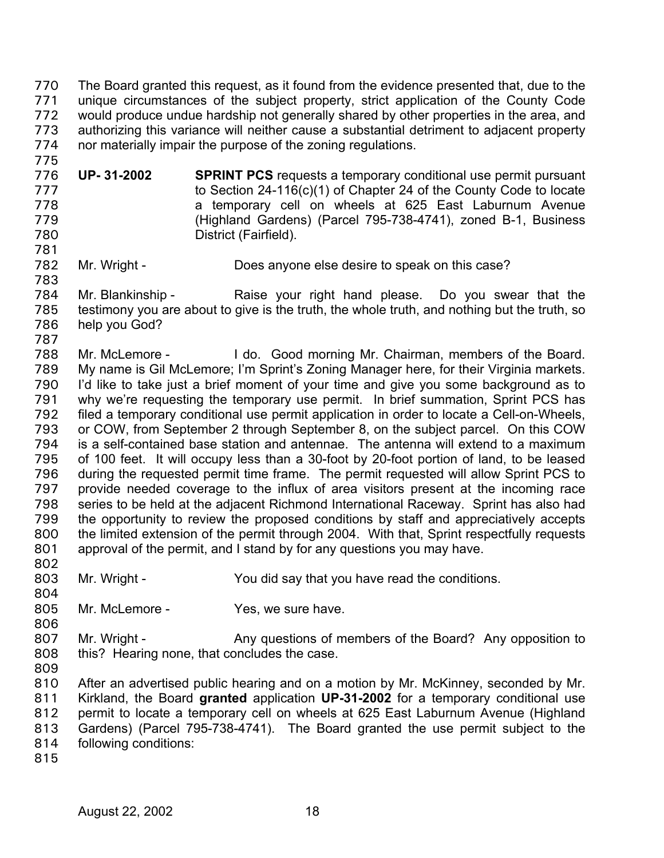The Board granted this request, as it found from the evidence presented that, due to the unique circumstances of the subject property, strict application of the County Code would produce undue hardship not generally shared by other properties in the area, and authorizing this variance will neither cause a substantial detriment to adjacent property nor materially impair the purpose of the zoning regulations. 770 771 772 773 774

- 776 777 778 779 780 **UP- 31-2002 SPRINT PCS** requests a temporary conditional use permit pursuant to Section 24-116(c)(1) of Chapter 24 of the County Code to locate a temporary cell on wheels at 625 East Laburnum Avenue (Highland Gardens) (Parcel 795-738-4741), zoned B-1, Business District (Fairfield).
- 782 Mr. Wright - Does anyone else desire to speak on this case?

784 785 786 Mr. Blankinship - The Raise your right hand please. Do you swear that the testimony you are about to give is the truth, the whole truth, and nothing but the truth, so help you God?

787 788 789 790 791 792 793 794 795 796 797 798 799 800 801 Mr. McLemore - I do. Good morning Mr. Chairman, members of the Board. My name is Gil McLemore; I'm Sprint's Zoning Manager here, for their Virginia markets. I'd like to take just a brief moment of your time and give you some background as to why we're requesting the temporary use permit. In brief summation, Sprint PCS has filed a temporary conditional use permit application in order to locate a Cell-on-Wheels, or COW, from September 2 through September 8, on the subject parcel. On this COW is a self-contained base station and antennae. The antenna will extend to a maximum of 100 feet. It will occupy less than a 30-foot by 20-foot portion of land, to be leased during the requested permit time frame. The permit requested will allow Sprint PCS to provide needed coverage to the influx of area visitors present at the incoming race series to be held at the adjacent Richmond International Raceway. Sprint has also had the opportunity to review the proposed conditions by staff and appreciatively accepts the limited extension of the permit through 2004. With that, Sprint respectfully requests approval of the permit, and I stand by for any questions you may have.

- 803 Mr. Wright - You did say that you have read the conditions.
- 804 805 Mr. McLemore - The Yes, we sure have.
- 807 808 Mr. Wright - Any questions of members of the Board? Any opposition to this? Hearing none, that concludes the case.
- 809

806

802

775

781

783

810 811 812 813 814 After an advertised public hearing and on a motion by Mr. McKinney, seconded by Mr. Kirkland, the Board **granted** application **UP-31-2002** for a temporary conditional use permit to locate a temporary cell on wheels at 625 East Laburnum Avenue (Highland Gardens) (Parcel 795-738-4741). The Board granted the use permit subject to the following conditions: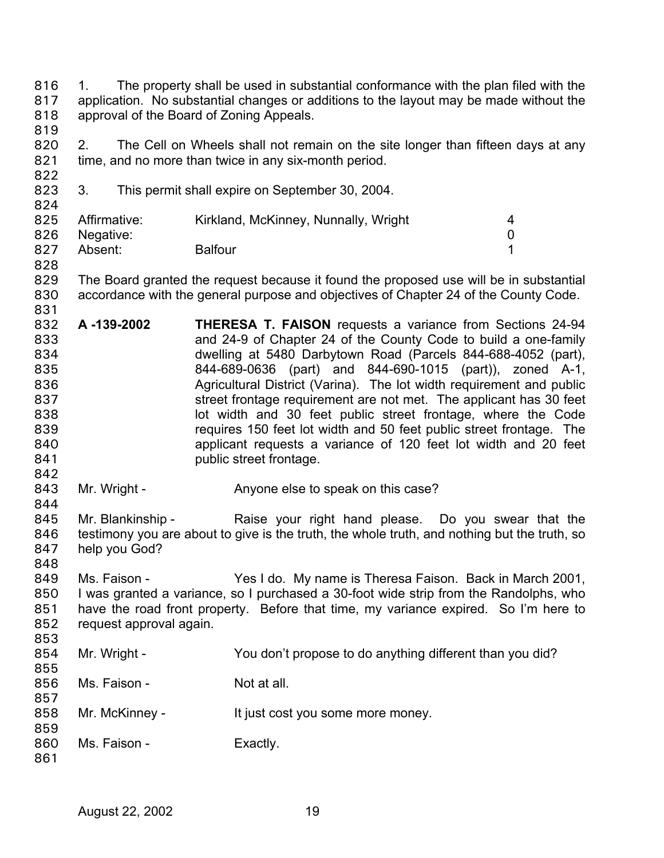1. The property shall be used in substantial conformance with the plan filed with the application. No substantial changes or additions to the layout may be made without the approval of the Board of Zoning Appeals. 816 817 818 819

820 821 2. The Cell on Wheels shall not remain on the site longer than fifteen days at any time, and no more than twice in any six-month period.

823 824 3. This permit shall expire on September 30, 2004.

|     | 825 Affirmative: | Kirkland, McKinney, Nunnally, Wright |  |
|-----|------------------|--------------------------------------|--|
|     | 826 Negative:    |                                      |  |
| 827 | Absent:          | <b>Balfour</b>                       |  |

829 830 The Board granted the request because it found the proposed use will be in substantial accordance with the general purpose and objectives of Chapter 24 of the County Code.

- 832 833 834 835 836 837 838 839 840 841 **A -139-2002 THERESA T. FAISON** requests a variance from Sections 24-94 and 24-9 of Chapter 24 of the County Code to build a one-family dwelling at 5480 Darbytown Road (Parcels 844-688-4052 (part), 844-689-0636 (part) and 844-690-1015 (part)), zoned A-1, Agricultural District (Varina). The lot width requirement and public street frontage requirement are not met. The applicant has 30 feet lot width and 30 feet public street frontage, where the Code requires 150 feet lot width and 50 feet public street frontage. The applicant requests a variance of 120 feet lot width and 20 feet public street frontage.
- 843 Mr. Wright - Anyone else to speak on this case?

845 846 847 848 Mr. Blankinship - The Raise your right hand please. Do you swear that the testimony you are about to give is the truth, the whole truth, and nothing but the truth, so help you God?

- 849 850 851 852 853 Ms. Faison - Yes I do. My name is Theresa Faison. Back in March 2001, I was granted a variance, so I purchased a 30-foot wide strip from the Randolphs, who have the road front property. Before that time, my variance expired. So I'm here to request approval again.
- 854 855 Mr. Wright - You don't propose to do anything different than you did?
- 856 857 Ms. Faison - Not at all.
- 858 Mr. McKinney - It just cost you some more money.
- 859 860 Ms. Faison - Exactly.
- 861

822

828

831

842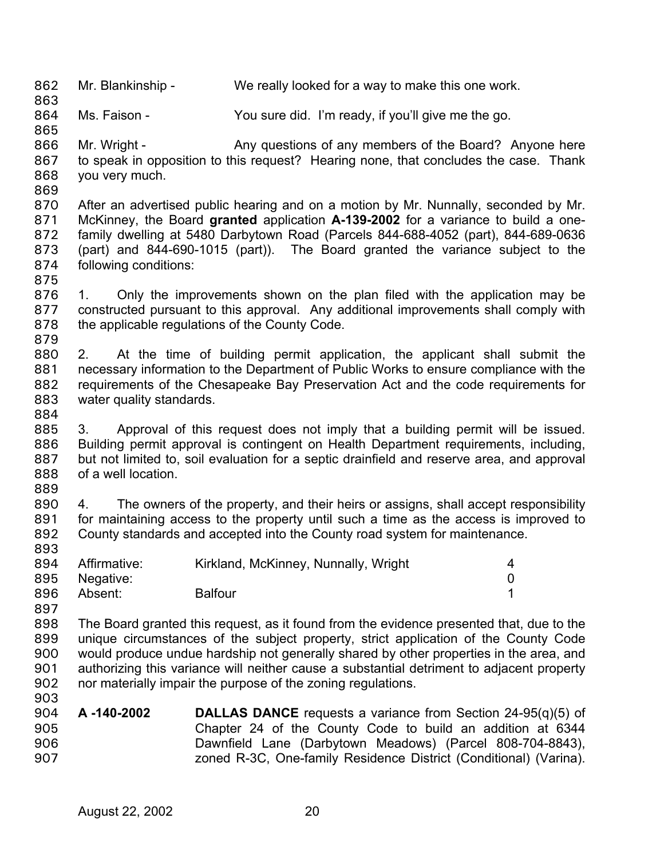862 Mr. Blankinship - We really looked for a way to make this one work.

864 Ms. Faison - You sure did. I'm ready, if you'll give me the go.

865 866 867 868 869 Mr. Wright - Any questions of any members of the Board? Anyone here to speak in opposition to this request? Hearing none, that concludes the case. Thank you very much.

- 870 871 872 873 874 After an advertised public hearing and on a motion by Mr. Nunnally, seconded by Mr. McKinney, the Board **granted** application **A-139-2002** for a variance to build a onefamily dwelling at 5480 Darbytown Road (Parcels 844-688-4052 (part), 844-689-0636 (part) and 844-690-1015 (part)). The Board granted the variance subject to the following conditions:
- 875

863

- 876 877 878 879 1. Only the improvements shown on the plan filed with the application may be constructed pursuant to this approval. Any additional improvements shall comply with the applicable regulations of the County Code.
- 880 881 882 883 2. At the time of building permit application, the applicant shall submit the necessary information to the Department of Public Works to ensure compliance with the requirements of the Chesapeake Bay Preservation Act and the code requirements for water quality standards.
- 884

885 886 887 888 889 3. Approval of this request does not imply that a building permit will be issued. Building permit approval is contingent on Health Department requirements, including, but not limited to, soil evaluation for a septic drainfield and reserve area, and approval of a well location.

890 891 892 893 4. The owners of the property, and their heirs or assigns, shall accept responsibility for maintaining access to the property until such a time as the access is improved to County standards and accepted into the County road system for maintenance.

|     | 894 Affirmative: | Kirkland, McKinney, Nunnally, Wright |  |
|-----|------------------|--------------------------------------|--|
|     | 895 Negative:    |                                      |  |
| 896 | Absent:          | <b>Balfour</b>                       |  |

897

898 899 900 901 902 903 The Board granted this request, as it found from the evidence presented that, due to the unique circumstances of the subject property, strict application of the County Code would produce undue hardship not generally shared by other properties in the area, and authorizing this variance will neither cause a substantial detriment to adjacent property nor materially impair the purpose of the zoning regulations.

904 905 906 907 **A -140-2002 DALLAS DANCE** requests a variance from Section 24-95(q)(5) of Chapter 24 of the County Code to build an addition at 6344 Dawnfield Lane (Darbytown Meadows) (Parcel 808-704-8843), zoned R-3C, One-family Residence District (Conditional) (Varina).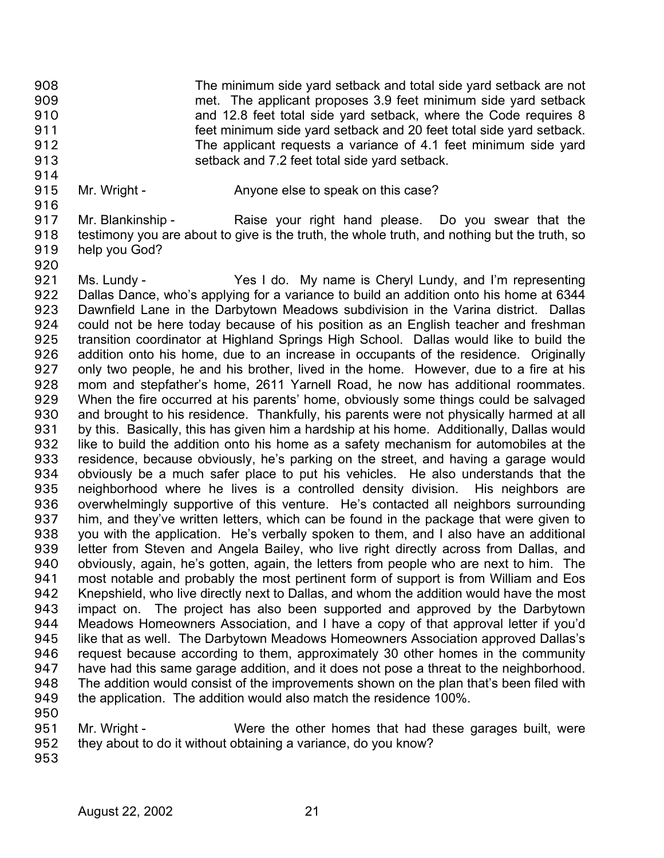The minimum side yard setback and total side yard setback are not met. The applicant proposes 3.9 feet minimum side yard setback and 12.8 feet total side yard setback, where the Code requires 8 feet minimum side yard setback and 20 feet total side yard setback. The applicant requests a variance of 4.1 feet minimum side yard setback and 7.2 feet total side yard setback. 908 909 910 911 912 913

- 915
	- Mr. Wright Anyone else to speak on this case?

917 918 919 Mr. Blankinship - Raise your right hand please. Do you swear that the testimony you are about to give is the truth, the whole truth, and nothing but the truth, so help you God?

920

914

916

921 922 923 924 925 926 927 928 929 930 931 932 933 934 935 936 937 938 939 940 941 942 943 944 945 946 947 948 949 950 Ms. Lundy - The Yes I do. My name is Cheryl Lundy, and I'm representing Dallas Dance, who's applying for a variance to build an addition onto his home at 6344 Dawnfield Lane in the Darbytown Meadows subdivision in the Varina district. Dallas could not be here today because of his position as an English teacher and freshman transition coordinator at Highland Springs High School. Dallas would like to build the addition onto his home, due to an increase in occupants of the residence. Originally only two people, he and his brother, lived in the home. However, due to a fire at his mom and stepfather's home, 2611 Yarnell Road, he now has additional roommates. When the fire occurred at his parents' home, obviously some things could be salvaged and brought to his residence. Thankfully, his parents were not physically harmed at all by this. Basically, this has given him a hardship at his home. Additionally, Dallas would like to build the addition onto his home as a safety mechanism for automobiles at the residence, because obviously, he's parking on the street, and having a garage would obviously be a much safer place to put his vehicles. He also understands that the neighborhood where he lives is a controlled density division. His neighbors are overwhelmingly supportive of this venture. He's contacted all neighbors surrounding him, and they've written letters, which can be found in the package that were given to you with the application. He's verbally spoken to them, and I also have an additional letter from Steven and Angela Bailey, who live right directly across from Dallas, and obviously, again, he's gotten, again, the letters from people who are next to him. The most notable and probably the most pertinent form of support is from William and Eos Knepshield, who live directly next to Dallas, and whom the addition would have the most impact on. The project has also been supported and approved by the Darbytown Meadows Homeowners Association, and I have a copy of that approval letter if you'd like that as well. The Darbytown Meadows Homeowners Association approved Dallas's request because according to them, approximately 30 other homes in the community have had this same garage addition, and it does not pose a threat to the neighborhood. The addition would consist of the improvements shown on the plan that's been filed with the application. The addition would also match the residence 100%.

- 951 952 Mr. Wright - Were the other homes that had these garages built, were they about to do it without obtaining a variance, do you know?
- 953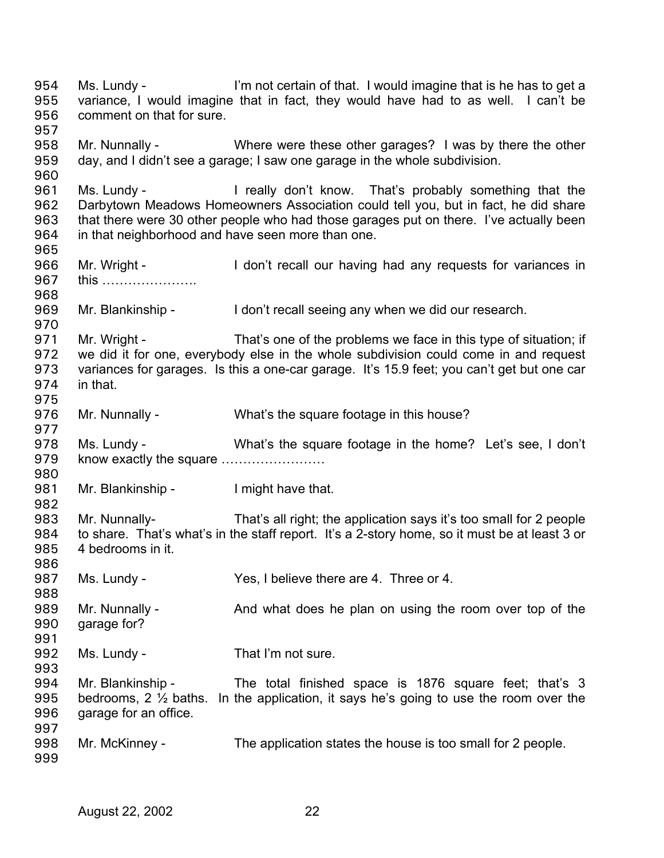Ms. Lundy - I'm not certain of that. I would imagine that is he has to get a variance, I would imagine that in fact, they would have had to as well. I can't be comment on that for sure. 954 955 956 957 958 959 960 961 962 963 964 965 966 967 968 969 970 971 972 973 974 975 976 977 978 979 980 981 982 983 984 985 986 987 988 989 990 991 992 993 994 995 996 997 998 999 Mr. Nunnally - Where were these other garages? I was by there the other day, and I didn't see a garage; I saw one garage in the whole subdivision. Ms. Lundy - I really don't know. That's probably something that the Darbytown Meadows Homeowners Association could tell you, but in fact, he did share that there were 30 other people who had those garages put on there. I've actually been in that neighborhood and have seen more than one. Mr. Wright - I don't recall our having had any requests for variances in this …………………. Mr. Blankinship - I don't recall seeing any when we did our research. Mr. Wright - That's one of the problems we face in this type of situation; if we did it for one, everybody else in the whole subdivision could come in and request variances for garages. Is this a one-car garage. It's 15.9 feet; you can't get but one car in that. Mr. Nunnally - What's the square footage in this house? Ms. Lundy - What's the square footage in the home? Let's see, I don't know exactly the square …………………… Mr. Blankinship - I might have that. Mr. Nunnally- That's all right; the application says it's too small for 2 people to share. That's what's in the staff report. It's a 2-story home, so it must be at least 3 or 4 bedrooms in it. Ms. Lundy - Yes, I believe there are 4. Three or 4. Mr. Nunnally - And what does he plan on using the room over top of the garage for? garage for? Ms. Lundy - That I'm not sure. Mr. Blankinship - The total finished space is 1876 square feet; that's 3 bedrooms, 2 ½ baths. In the application, it says he's going to use the room over the garage for an office. Mr. McKinney - The application states the house is too small for 2 people.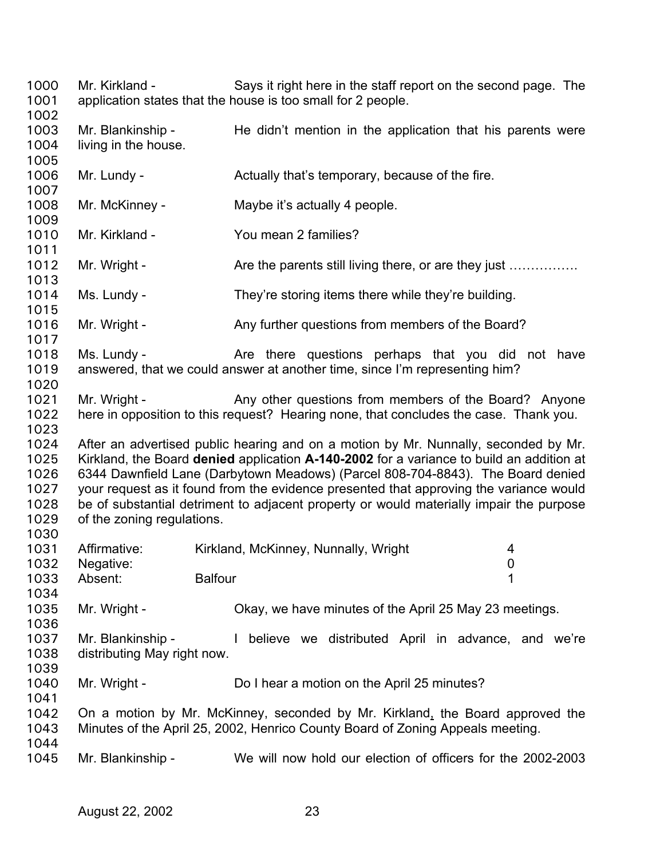Mr. Kirkland - Says it right here in the staff report on the second page. The application states that the house is too small for 2 people. Mr. Blankinship - He didn't mention in the application that his parents were living in the house. Mr. Lundy - The Actually that's temporary, because of the fire. Mr. McKinney - Maybe it's actually 4 people. Mr. Kirkland - You mean 2 families? Mr. Wright - Are the parents still living there, or are they just ............... Ms. Lundy - They're storing items there while they're building. Mr. Wright - Any further questions from members of the Board? Ms. Lundy - The Are there questions perhaps that you did not have answered, that we could answer at another time, since I'm representing him? Mr. Wright - Any other questions from members of the Board? Anyone here in opposition to this request? Hearing none, that concludes the case. Thank you. After an advertised public hearing and on a motion by Mr. Nunnally, seconded by Mr. Kirkland, the Board **denied** application **A-140-2002** for a variance to build an addition at 6344 Dawnfield Lane (Darbytown Meadows) (Parcel 808-704-8843). The Board denied your request as it found from the evidence presented that approving the variance would be of substantial detriment to adjacent property or would materially impair the purpose of the zoning regulations. Affirmative: Kirkland, McKinney, Nunnally, Wright 4 Negative: 0 Absent: Balfour 1 Mr. Wright - Chay, we have minutes of the April 25 May 23 meetings. Mr. Blankinship - I believe we distributed April in advance, and we're distributing May right now. Mr. Wright - Do I hear a motion on the April 25 minutes? On a motion by Mr. McKinney, seconded by Mr. Kirkland, the Board approved the Minutes of the April 25, 2002, Henrico County Board of Zoning Appeals meeting. Mr. Blankinship - We will now hold our election of officers for the 2002-2003